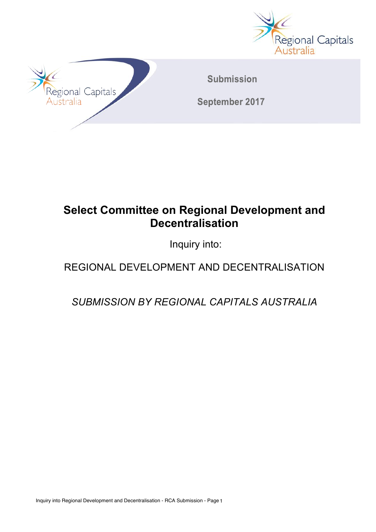



# **Select Committee on Regional Development and Decentralisation**

Inquiry into:

# REGIONAL DEVELOPMENT AND DECENTRALISATION

*SUBMISSION BY REGIONAL CAPITALS AUSTRALIA*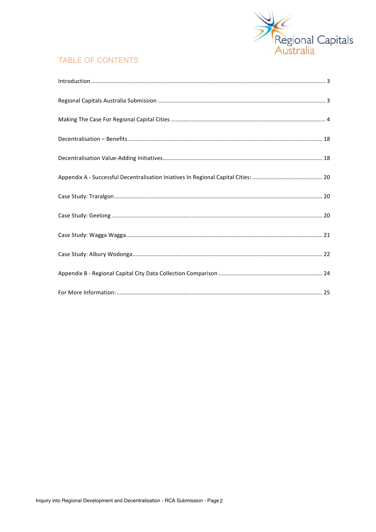

### **TABLE OF CONTENTS**

| $\label{eq:1} \mbox{Introduction} \,\, \ldots \,\, \ldots \,\, \ldots \,\, \ldots \,\, \ldots \,\, \ldots \,\, \ldots \,\, \ldots \,\, \ldots \,\, \ldots \,\, \ldots \,\, \ldots \,\, \ldots \,\, \ldots \,\, \ldots \,\, \ldots \,\, \ldots \,\, \ldots \,\, \ldots \,\, \ldots \,\, \ldots \,\, \ldots \,\, \ldots \,\, \ldots \,\, \ldots \,\, \ldots \,\, \ldots \,\, \ldots \,\, \ldots \,\, \ldots \,\, \ldots \,\, \ldots \,\, \ldots \,\, \ldots \,\,$ |
|-----------------------------------------------------------------------------------------------------------------------------------------------------------------------------------------------------------------------------------------------------------------------------------------------------------------------------------------------------------------------------------------------------------------------------------------------------------------|
|                                                                                                                                                                                                                                                                                                                                                                                                                                                                 |
|                                                                                                                                                                                                                                                                                                                                                                                                                                                                 |
|                                                                                                                                                                                                                                                                                                                                                                                                                                                                 |
|                                                                                                                                                                                                                                                                                                                                                                                                                                                                 |
|                                                                                                                                                                                                                                                                                                                                                                                                                                                                 |
|                                                                                                                                                                                                                                                                                                                                                                                                                                                                 |
|                                                                                                                                                                                                                                                                                                                                                                                                                                                                 |
|                                                                                                                                                                                                                                                                                                                                                                                                                                                                 |
|                                                                                                                                                                                                                                                                                                                                                                                                                                                                 |
|                                                                                                                                                                                                                                                                                                                                                                                                                                                                 |
|                                                                                                                                                                                                                                                                                                                                                                                                                                                                 |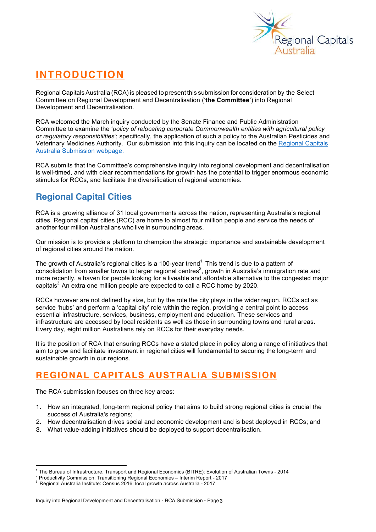

# **INTRODUCTION**

Regional Capitals Australia (RCA) is pleased to present this submission for consideration by the Select Committee on Regional Development and Decentralisation ('**the Committee'**) into Regional Development and Decentralisation.

RCA welcomed the March inquiry conducted by the Senate Finance and Public Administration Committee to examine the '*policy of relocating corporate Commonwealth entities with agricultural policy or regulatory responsibilities*'; specifically, the application of such a policy to the Australian Pesticides and Veterinary Medicines Authority. Our submission into this inquiry can be located on the Regional Capitals Australia Submission webpage.

RCA submits that the Committee's comprehensive inquiry into regional development and decentralisation is well-timed, and with clear recommendations for growth has the potential to trigger enormous economic stimulus for RCCs, and facilitate the diversification of regional economies.

# **Regional Capital Cities**

RCA is a growing alliance of 31 local governments across the nation, representing Australia's regional cities. Regional capital cities (RCC) are home to almost four million people and service the needs of another four million Australians who live in surrounding areas.

Our mission is to provide a platform to champion the strategic importance and sustainable development of regional cities around the nation.

The growth of Australia's regional cities is a 100-year trend<sup>1.</sup> This trend is due to a pattern of consolidation from smaller towns to larger regional centres<sup>2</sup>, growth in Australia's immigration rate and more recently, a haven for people looking for a liveable and affordable alternative to the congested major capitals<sup>3</sup> An extra one million people are expected to call a RCC home by 2020.

RCCs however are not defined by size, but by the role the city plays in the wider region. RCCs act as service 'hubs' and perform a 'capital city' role within the region, providing a central point to access essential infrastructure, services, business, employment and education. These services and infrastructure are accessed by local residents as well as those in surrounding towns and rural areas. Every day, eight million Australians rely on RCCs for their everyday needs.

It is the position of RCA that ensuring RCCs have a stated place in policy along a range of initiatives that aim to grow and facilitate investment in regional cities will fundamental to securing the long-term and sustainable growth in our regions.

# **REGIONAL CAPITALS AUSTRALIA SUBMISSION**

The RCA submission focuses on three key areas:

- 1. How an integrated, long-term regional policy that aims to build strong regional cities is crucial the success of Australia's regions;
- 2. How decentralisation drives social and economic development and is best deployed in RCCs; and
- 3. What value-adding initiatives should be deployed to support decentralisation.

<sup>&</sup>lt;sup>1</sup> The Bureau of Infrastructure, Transport and Regional Economics (BITRE): Evolution of Australian Towns - 2014<br><sup>2</sup> Productivity Commission: Transitioning Regional Economies – Interim Report - 2017<br><sup>3</sup> Regional Australia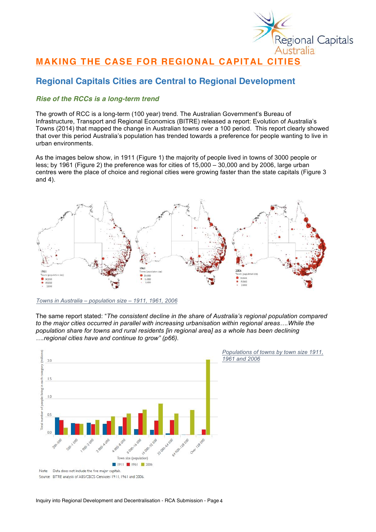

## **MAKING THE CASE FOR REGIONAL CAPITAL CITIES**

### **Regional Capitals Cities are Central to Regional Development**

#### *Rise of the RCCs is a long-term trend*

The growth of RCC is a long-term (100 year) trend. The Australian Government's Bureau of Infrastructure, Transport and Regional Economics (BITRE) released a report: Evolution of Australia's Towns (2014) that mapped the change in Australian towns over a 100 period. This report clearly showed that over this period Australia's population has trended towards a preference for people wanting to live in urban environments.

As the images below show, in 1911 (Figure 1) the majority of people lived in towns of 3000 people or less; by 1961 (Figure 2) the preference was for cities of 15,000 – 30,000 and by 2006, large urban centres were the place of choice and regional cities were growing faster than the state capitals (Figure 3 and 4).



*Towns in Australia – population size – 1911, 1961, 2006*

The same report stated: "*The consistent decline in the share of Australia's regional population compared to the major cities occurred in parallel with increasing urbanisation within regional areas….While the population share for towns and rural residents [in regional area] as a whole has been declining ….regional cities have and continue to grow" (p66).*

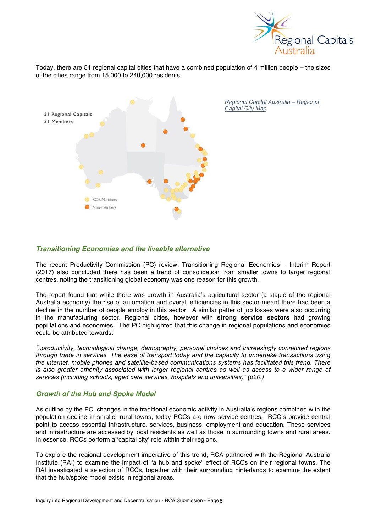

Today, there are 51 regional capital cities that have a combined population of 4 million people – the sizes of the cities range from 15,000 to 240,000 residents.



#### *Transitioning Economies and the liveable alternative*

The recent Productivity Commission (PC) review: Transitioning Regional Economies – Interim Report (2017) also concluded there has been a trend of consolidation from smaller towns to larger regional centres, noting the transitioning global economy was one reason for this growth.

The report found that while there was growth in Australia's agricultural sector (a staple of the regional Australia economy) the rise of automation and overall efficiencies in this sector meant there had been a decline in the number of people employ in this sector. A similar patter of job losses were also occurring in the manufacturing sector. Regional cities, however with **strong service sectors** had growing populations and economies. The PC highlighted that this change in regional populations and economies could be attributed towards:

*"..productivity, technological change, demography, personal choices and increasingly connected regions through trade in services. The ease of transport today and the capacity to undertake transactions using the internet, mobile phones and satellite-based communications systems has facilitated this trend. There is also greater amenity associated with larger regional centres as well as access to a wider range of services (including schools, aged care services, hospitals and universities)" (p20.)*

#### *Growth of the Hub and Spoke Model*

As outline by the PC, changes in the traditional economic activity in Australia's regions combined with the population decline in smaller rural towns, today RCCs are now service centres. RCC's provide central point to access essential infrastructure, services, business, employment and education. These services and infrastructure are accessed by local residents as well as those in surrounding towns and rural areas. In essence, RCCs perform a 'capital city' role within their regions.

To explore the regional development imperative of this trend, RCA partnered with the Regional Australia Institute (RAI) to examine the impact of "a hub and spoke" effect of RCCs on their regional towns. The RAI investigated a selection of RCCs, together with their surrounding hinterlands to examine the extent that the hub/spoke model exists in regional areas.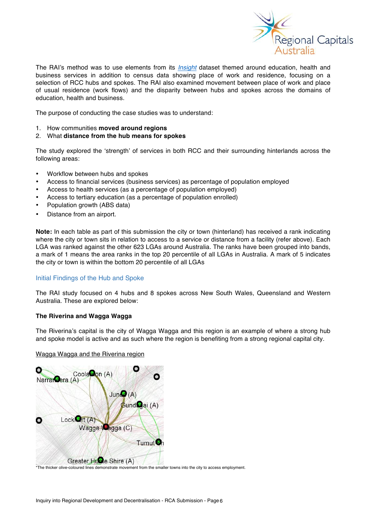

The RAI's method was to use elements from its *Insight* dataset themed around education, health and business services in addition to census data showing place of work and residence, focusing on a selection of RCC hubs and spokes. The RAI also examined movement between place of work and place of usual residence (work flows) and the disparity between hubs and spokes across the domains of education, health and business.

The purpose of conducting the case studies was to understand:

- 1. How communities **moved around regions**
- 2. What **distance from the hub means for spokes**

The study explored the 'strength' of services in both RCC and their surrounding hinterlands across the following areas:

- Workflow between hubs and spokes
- Access to financial services (business services) as percentage of population employed
- Access to health services (as a percentage of population employed)
- Access to tertiary education (as a percentage of population enrolled)
- Population growth (ABS data)
- Distance from an airport.

**Note:** In each table as part of this submission the city or town (hinterland) has received a rank indicating where the city or town sits in relation to access to a service or distance from a facility (refer above). Each LGA was ranked against the other 623 LGAs around Australia. The ranks have been grouped into bands, a mark of 1 means the area ranks in the top 20 percentile of all LGAs in Australia. A mark of 5 indicates the city or town is within the bottom 20 percentile of all LGAs

#### Initial Findings of the Hub and Spoke

The RAI study focused on 4 hubs and 8 spokes across New South Wales, Queensland and Western Australia. These are explored below:

#### **The Riverina and Wagga Wagga**

The Riverina's capital is the city of Wagga Wagga and this region is an example of where a strong hub and spoke model is active and as such where the region is benefiting from a strong regional capital city.

#### Wagga Wagga and the Riverina region



\*The thicker olive-coloured lines demonstrate movement from the smaller towns into the city to access employment.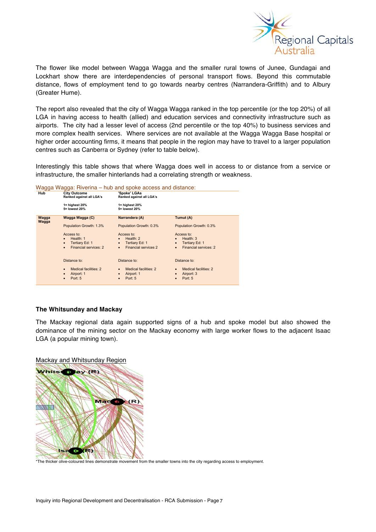

The flower like model between Wagga Wagga and the smaller rural towns of Junee, Gundagai and Lockhart show there are interdependencies of personal transport flows. Beyond this commutable distance, flows of employment tend to go towards nearby centres (Narrandera-Griffith) and to Albury (Greater Hume).

The report also revealed that the city of Wagga Wagga ranked in the top percentile (or the top 20%) of all LGA in having access to health (allied) and education services and connectivity infrastructure such as airports. The city had a lesser level of access (2nd percentile or the top 40%) to business services and more complex health services. Where services are not available at the Wagga Wagga Base hospital or higher order accounting firms, it means that people in the region may have to travel to a larger population centres such as Canberra or Sydney (refer to table below).

Interestingly this table shows that where Wagga does well in access to or distance from a service or infrastructure, the smaller hinterlands had a correlating strength or weakness.

| Wagga Wagga: Riverina – hub and spoke access and distance: |                                                 |                                          |                                    |  |
|------------------------------------------------------------|-------------------------------------------------|------------------------------------------|------------------------------------|--|
| Hub                                                        | <b>City Outcome</b><br>Ranked against all LGA's | 'Spoke' LGAs<br>Ranked against all LGA's |                                    |  |
|                                                            | $1 =$ highest 20%<br>5= lowest 20%              | $1 =$ highest 20%<br>5= lowest 20%       |                                    |  |
| Wagga<br>Wagga                                             | Wagga Wagga (C)                                 | Narrandera (A)                           | Tumut (A)                          |  |
|                                                            | Population Growth: 1.3%                         | Population Growth: 0.3%                  | Population Growth: 0.3%            |  |
|                                                            | Access to:                                      | Access to:                               | Access to:                         |  |
|                                                            | Health: 1                                       | Health: 2                                | Health: $3$                        |  |
|                                                            | Tertiary Ed: 1<br>$\bullet$                     | Tertiary Ed: 1<br>$\bullet$              | Tertiary Ed: 1<br>$\bullet$        |  |
|                                                            | Financial services: 2<br>$\bullet$              | <b>Financial services 2</b><br>$\bullet$ | Financial services: 2<br>$\bullet$ |  |
|                                                            | Distance to:                                    | Distance to:                             | Distance to:                       |  |
|                                                            | Medical facilities: 2<br>$\bullet$              | Medical facilities: 2<br>$\bullet$       | Medical facilities: 2<br>$\bullet$ |  |
|                                                            | Airport: 1                                      | Airport: 1                               | Airport: 3                         |  |
|                                                            | Port: 5                                         | Port: 5                                  | Port: 5                            |  |

#### **The Whitsunday and Mackay**

The Mackay regional data again supported signs of a hub and spoke model but also showed the dominance of the mining sector on the Mackay economy with large worker flows to the adjacent Isaac LGA (a popular mining town).

Mackay and Whitsunday Region



\*The thicker olive-coloured lines demonstrate movement from the smaller towns into the city regarding access to employment.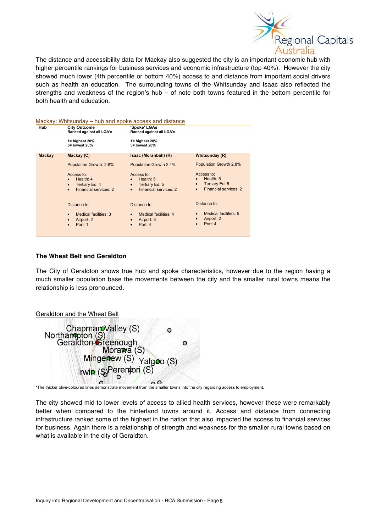

The distance and accessibility data for Mackay also suggested the city is an important economic hub with higher percentile rankings for business services and economic infrastructure (top 40%). However the city showed much lower (4th percentile or bottom 40%) access to and distance from important social drivers such as health an education. The surrounding towns of the Whitsunday and Isaac also reflected the strengths and weakness of the region's hub – of note both towns featured in the bottom percentile for both health and education.

| Hub           | <b>City Outcome</b><br>Ranked against all LGA's                                 | 'Spoke' LGAs<br>Ranked against all LGA's                                                                  |                                                                                          |
|---------------|---------------------------------------------------------------------------------|-----------------------------------------------------------------------------------------------------------|------------------------------------------------------------------------------------------|
|               | $1 =$ highest 20%<br>5= lowest 20%                                              | $1 =$ highest 20%<br>5= lowest 20%                                                                        |                                                                                          |
| <b>Mackay</b> | Mackay (C)                                                                      | Isaac (Moranbah) (R)                                                                                      | <b>Whitsunday (R)</b>                                                                    |
|               | Population Growth: 2.8%                                                         | Population Growth 2.4%                                                                                    | Population Growth 2.8%                                                                   |
|               | Access to:<br>Health: 4<br>Tertiary Ed: 4<br>Financial services: 2<br>$\bullet$ | Access to:<br>Health: 5<br>$\bullet$<br>Tertiary Ed: 5<br>$\bullet$<br>Financial services: 2<br>$\bullet$ | Access to:<br>Health: $5$<br>Tertiary Ed: 5<br>$\bullet$<br><b>Financial services: 2</b> |
|               | Distance to:                                                                    | Distance to:                                                                                              | Distance to:                                                                             |
|               | <b>Medical facilities: 3</b><br>$\bullet$<br>Airport: 2<br>Port: 1              | Medical facilities: 4<br>$\bullet$<br>Airport: 3<br>$\bullet$<br>Port: 4<br>$\bullet$                     | Medical facilities: 5<br>Airport: 2<br>$\bullet$<br>Port: 4<br>$\bullet$                 |

#### **The Wheat Belt and Geraldton**

The City of Geraldton shows true hub and spoke characteristics, however due to the region having a much smaller population base the movements between the city and the smaller rural towns means the relationship is less pronounced.

| Geraldton and the Wheat Belt                                                      |   |
|-----------------------------------------------------------------------------------|---|
| Chapman Valley (S)<br>Northan pton (S)<br>Geraldton Creenough<br>Mora wa (S)<br>O |   |
|                                                                                   | O |
| Mingenew (S) Yalgoo (S)                                                           |   |
| Irwin (S)Perentori (S)                                                            |   |
|                                                                                   |   |

\*The thicker olive-coloured lines demonstrate movement from the smaller towns into the city regarding access to employment.

The city showed mid to lower levels of access to allied health services, however these were remarkably better when compared to the hinterland towns around it. Access and distance from connecting infrastructure ranked some of the highest in the nation that also impacted the access to financial services for business. Again there is a relationship of strength and weakness for the smaller rural towns based on what is available in the city of Geraldton.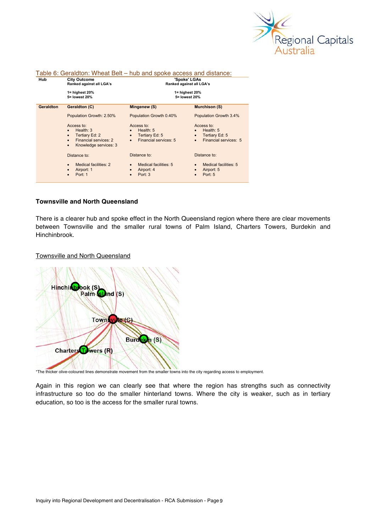

| Table 6: Geraldton: Wheat Belt – hub and spoke access and distance: |                                                                                                                                      |                                                                                                             |                                                                                              |
|---------------------------------------------------------------------|--------------------------------------------------------------------------------------------------------------------------------------|-------------------------------------------------------------------------------------------------------------|----------------------------------------------------------------------------------------------|
| Hub                                                                 | <b>City Outcome</b><br>Ranked against all LGA's                                                                                      | 'Spoke' LGAs<br>Ranked against all LGA's                                                                    |                                                                                              |
|                                                                     | $1 =$ highest 20%<br>5= lowest 20%                                                                                                   | 1= highest 20%<br>5= lowest 20%                                                                             |                                                                                              |
| Geraldton                                                           | Geraldton (C)                                                                                                                        | Mingenew (S)                                                                                                | <b>Murchison (S)</b>                                                                         |
|                                                                     | Population Growth: 2.50%                                                                                                             | Population Growth 0.40%                                                                                     | Population Growth 3.4%                                                                       |
|                                                                     | Access to:<br>Health: $3$<br>Tertiary Ed: 2<br>$\bullet$<br>Financial services: 2<br>$\bullet$<br>Knowledge services: 3<br>$\bullet$ | Access to:<br>Health: $5$<br>$\bullet$<br>Tertiary Ed: 5<br>$\bullet$<br>Financial services: 5<br>$\bullet$ | Access to:<br>Health: 5<br>Tertiary Ed: 5<br>$\bullet$<br>Financial services: 5<br>$\bullet$ |
|                                                                     | Distance to:                                                                                                                         | Distance to:                                                                                                | Distance to:                                                                                 |
|                                                                     | Medical facilities: 2<br>$\bullet$<br>Airport: 1<br>Port: 1                                                                          | Medical facilities: 5<br>$\bullet$<br>Airport: 4<br>$\bullet$<br>Port: 3<br>$\bullet$                       | Medical facilities: 5<br>Airport: 5<br>Port: 5                                               |

#### **Townsville and North Queensland**

There is a clearer hub and spoke effect in the North Queensland region where there are clear movements between Townsville and the smaller rural towns of Palm Island, Charters Towers, Burdekin and Hinchinbrook.

#### Townsville and North Queensland



\*The thicker olive-coloured lines demonstrate movement from the smaller towns into the city regarding access to employment.

Again in this region we can clearly see that where the region has strengths such as connectivity infrastructure so too do the smaller hinterland towns. Where the city is weaker, such as in tertiary education, so too is the access for the smaller rural towns.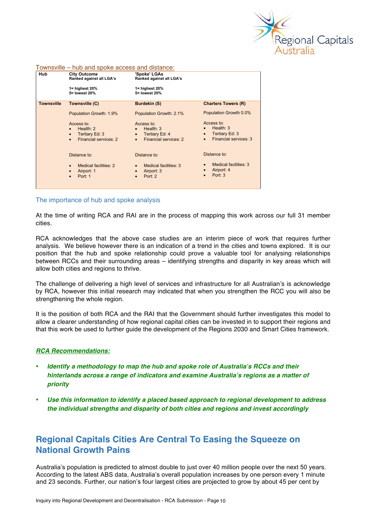

| .                 | These carried sports accessed and algebraics.                                                |                                                                                              |                                                                                                                    |
|-------------------|----------------------------------------------------------------------------------------------|----------------------------------------------------------------------------------------------|--------------------------------------------------------------------------------------------------------------------|
| <b>Hub</b>        | <b>City Outcome</b><br>Ranked against all LGA's                                              | 'Spoke' LGAs<br>Ranked against all LGA's                                                     |                                                                                                                    |
|                   | $1 =$ highest 20%<br>5= lowest 20%                                                           | $1 =$ highest 20%<br>5= lowest 20%                                                           |                                                                                                                    |
| <b>Townsville</b> | Townsville (C)                                                                               | <b>Burdekin (S)</b>                                                                          | <b>Charters Towers (R)</b>                                                                                         |
|                   | Population Growth: 1.9%                                                                      | Population Growth: 2.1%                                                                      | Population Growth 0.0%                                                                                             |
|                   | Access to:<br>Health: 2<br>Tertiary Ed: 3<br>$\bullet$<br>Financial services: 2<br>$\bullet$ | Access to:<br>Health: 3<br>Tertiary Ed: 4<br>$\bullet$<br>Financial services: 2<br>$\bullet$ | Access to:<br>Health: $3$<br>$\bullet$<br>Tertiary Ed: 3<br>$\bullet$<br><b>Financial services: 3</b><br>$\bullet$ |
|                   | Distance to:                                                                                 | Distance to:                                                                                 | Distance to:                                                                                                       |
|                   | Medical facilities: 2<br>$\bullet$<br>Airport: 1<br>٠<br>Port: 1<br>$\bullet$                | Medical facilities: 3<br>Airport: 3<br>$\bullet$<br>Port: 2                                  | Medical facilities: 3<br>Airport: 4<br>Port: 3                                                                     |

#### Townsville – hub and spoke access and distance:

#### The importance of hub and spoke analysis

At the time of writing RCA and RAI are in the process of mapping this work across our full 31 member cities.

RCA acknowledges that the above case studies are an interim piece of work that requires further analysis. We believe however there is an indication of a trend in the cities and towns explored. It is our position that the hub and spoke relationship could prove a valuable tool for analysing relationships between RCCs and their surrounding areas – identifying strengths and disparity in key areas which will allow both cities and regions to thrive.

The challenge of delivering a high level of services and infrastructure for all Australian's is acknowledge by RCA, however this initial research may indicated that when you strengthen the RCC you will also be strengthening the whole region.

It is the position of both RCA and the RAI that the Government should further investigates this model to allow a clearer understanding of how regional capital cities can be invested in to support their regions and that this work be used to further guide the development of the Regions 2030 and Smart Cities framework.

#### *RCA Recommendations:*

- *Identify a methodology to map the hub and spoke role of Australia's RCCs and their hinterlands across a range of indicators and examine Australia's regions as a matter of priority*
- *Use this information to identify a placed based approach to regional development to address the individual strengths and disparity of both cities and regions and invest accordingly*

### **Regional Capitals Cities Are Central To Easing the Squeeze on National Growth Pains**

Australia's population is predicted to almost double to just over 40 million people over the next 50 years. According to the latest ABS data, Australia's overall population increases by one person every 1 minute and 23 seconds. Further, our nation's four largest cities are projected to grow by about 45 per cent by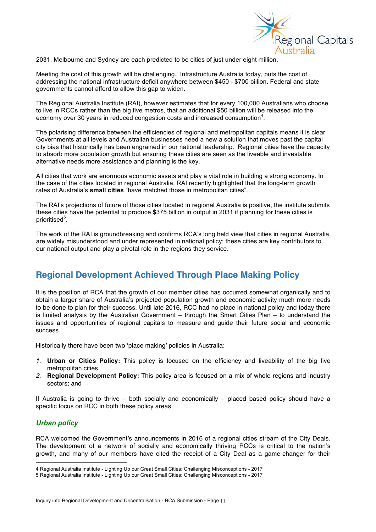

2031. Melbourne and Sydney are each predicted to be cities of just under eight million.

Meeting the cost of this growth will be challenging. Infrastructure Australia today, puts the cost of addressing the national infrastructure deficit anywhere between \$450 - \$700 billion. Federal and state governments cannot afford to allow this gap to widen.

The Regional Australia Institute (RAI), however estimates that for every 100,000 Australians who choose to live in RCCs rather than the big five metros, that an additional \$50 billion will be released into the economy over 30 years in reduced congestion costs and increased consumption<sup>4</sup>.

The polarising difference between the efficiencies of regional and metropolitan capitals means it is clear Governments at all levels and Australian businesses need a new a solution that moves past the capital city bias that historically has been engrained in our national leadership. Regional cities have the capacity to absorb more population growth but ensuring these cities are seen as the liveable and investable alternative needs more assistance and planning is the key.

All cities that work are enormous economic assets and play a vital role in building a strong economy. In the case of the cities located in regional Australia, RAI recently highlighted that the long-term growth rates of Australia's **small cities** "have matched those in metropolitan cities".

The RAI's projections of future of those cities located in regional Australia is positive, the institute submits these cities have the potential to produce \$375 billion in output in 2031 if planning for these cities is prioritised<sup>5</sup>.

The work of the RAI is groundbreaking and confirms RCA's long held view that cities in regional Australia are widely misunderstood and under represented in national policy; these cities are key contributors to our national output and play a pivotal role in the regions they service.

### **Regional Development Achieved Through Place Making Policy**

It is the position of RCA that the growth of our member cities has occurred somewhat organically and to obtain a larger share of Australia's projected population growth and economic activity much more needs to be done to plan for their success. Until late 2016, RCC had no place in national policy and today there is limited analysis by the Australian Government – through the Smart Cities Plan – to understand the issues and opportunities of regional capitals to measure and guide their future social and economic success.

Historically there have been two 'place making' policies in Australia:

- *1.* **Urban or Cities Policy:** This policy is focused on the efficiency and liveability of the big five metropolitan cities.
- *2.* **Regional Development Policy:** This policy area is focused on a mix of whole regions and industry sectors; and

If Australia is going to thrive – both socially and economically – placed based policy should have a specific focus on RCC in both these policy areas.

#### *Urban policy*

RCA welcomed the Government's announcements in 2016 of a regional cities stream of the City Deals. The development of a network of socially and economically thriving RCCs is critical to the nation's growth, and many of our members have cited the receipt of a City Deal as a game-changer for their

 <sup>4</sup> Regional Australia Institute - Lighting Up our Great Small Cities: Challenging Misconceptions - <sup>2017</sup>

<sup>5</sup> Regional Australia Institute - Lighting Up our Great Small Cities: Challenging Misconceptions - 2017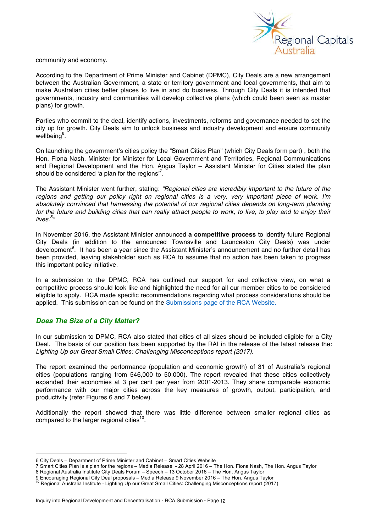

community and economy.

According to the Department of Prime Minister and Cabinet (DPMC), City Deals are a new arrangement between the Australian Government, a state or territory government and local governments, that aim to make Australian cities better places to live in and do business. Through City Deals it is intended that governments, industry and communities will develop collective plans (which could been seen as master plans) for growth.

Parties who commit to the deal, identify actions, investments, reforms and governance needed to set the city up for growth. City Deals aim to unlock business and industry development and ensure community wellbeing<sup>6</sup>.

On launching the government's cities policy the "Smart Cities Plan" (which City Deals form part) , both the Hon. Fiona Nash, Minister for Minister for Local Government and Territories, Regional Communications and Regional Development and the Hon. Angus Taylor – Assistant Minister for Cities stated the plan should be considered 'a plan for the regions'<sup>7</sup>.

The Assistant Minister went further, stating: *"Regional cities are incredibly important to the future of the regions and getting our policy right on regional cities is a very, very important piece of work. I'm absolutely convinced that harnessing the potential of our regional cities depends on long-term planning for the future and building cities that can really attract people to work, to live, to play and to enjoy their lives.<sup>8</sup> "* 

In November 2016, the Assistant Minister announced **a competitive process** to identify future Regional City Deals (in addition to the announced Townsville and Launceston City Deals) was under development<sup>9</sup>. It has been a year since the Assistant Minister's announcement and no further detail has been provided, leaving stakeholder such as RCA to assume that no action has been taken to progress this important policy initiative.

In a submission to the DPMC, RCA has outlined our support for and collective view, on what a competitive process should look like and highlighted the need for all our member cities to be considered eligible to apply. RCA made specific recommendations regarding what process considerations should be applied. This submission can be found on the Submissions page of the RCA Website.

#### *Does The Size of a City Matter?*

In our submission to DPMC, RCA also stated that cities of all sizes should be included eligible for a City Deal. The basis of our position has been supported by the RAI in the release of the latest release the: *Lighting Up our Great Small Cities: Challenging Misconceptions report (2017)*.

The report examined the performance (population and economic growth) of 31 of Australia's regional cities (populations ranging from 546,000 to 50,000). The report revealed that these cities collectively expanded their economies at 3 per cent per year from 2001-2013. They share comparable economic performance with our major cities across the key measures of growth, output, participation, and productivity (refer Figures 6 and 7 below).

Additionally the report showed that there was little difference between smaller regional cities as compared to the larger regional cities<sup>10</sup>.

 <sup>6</sup> City Deals – Department of Prime Minister and Cabinet – Smart Cities Website

<sup>7</sup> Smart Cities Plan is a plan for the regions – Media Release - 28 April 2016 – The Hon. Fiona Nash, The Hon. Angus Taylor

<sup>8</sup> Regional Australia Institute City Deals Forum – Speech – 13 October 2016 – The Hon. Angus Taylor<br>9 Encouraging Regional City Deal proposals – Media Release 9 November 2016 – The Hon. Angus Taylor

<sup>9</sup> Encouraging Regional Institute - Lighting Up our Great Small Cities: Challenging Misconceptions report (2017)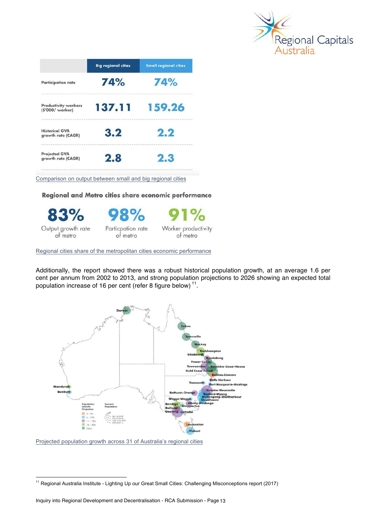

|                                                 | <b>Big regional cities</b> | <b>Small regional cities</b> |
|-------------------------------------------------|----------------------------|------------------------------|
| <b>Participation rate</b>                       | 74%                        | 74%                          |
| <b>Productivity workers</b><br>(\$'000/ worker) | 137.11                     | 159.26                       |
| <b>Historical GVA</b><br>growth rate (CAGR)     | 3.2                        | 2.2                          |
| <b>Projected GVA</b><br>growth rate (CAGR)      | 2.8                        | 2.3                          |

Comparison on output between small and big regional cities

#### Regional and Metro cities share economic performance



Regional cities share of the metropolitan cities economic performance

Additionally, the report showed there was a robust historical population growth, at an average 1.6 per cent per annum from 2002 to 2013, and strong population projections to 2026 showing an expected total population increase of 16 per cent (refer 8 figure below) 11.



Projected population growth across 31 of Australia's regional cities

<sup>&</sup>lt;sup>11</sup> Regional Australia Institute - Lighting Up our Great Small Cities: Challenging Misconceptions report (2017)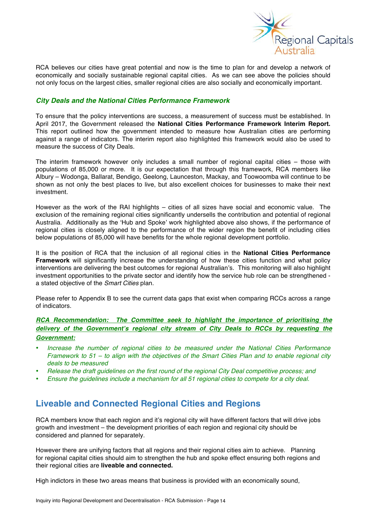

RCA believes our cities have great potential and now is the time to plan for and develop a network of economically and socially sustainable regional capital cities. As we can see above the policies should not only focus on the largest cities, smaller regional cities are also socially and economically important.

#### *City Deals and the National Cities Performance Framework*

To ensure that the policy interventions are success, a measurement of success must be established. In April 2017, the Government released the **National Cities Performance Framework Interim Report.**  This report outlined how the government intended to measure how Australian cities are performing against a range of indicators. The interim report also highlighted this framework would also be used to measure the success of City Deals.

The interim framework however only includes a small number of regional capital cities – those with populations of 85,000 or more. It is our expectation that through this framework, RCA members like Albury – Wodonga, Ballarat, Bendigo, Geelong, Launceston, Mackay, and Toowoomba will continue to be shown as not only the best places to live, but also excellent choices for businesses to make their next investment.

However as the work of the RAI highlights – cities of all sizes have social and economic value. The exclusion of the remaining regional cities significantly undersells the contribution and potential of regional Australia. Additionally as the 'Hub and Spoke' work highlighted above also shows, if the performance of regional cities is closely aligned to the performance of the wider region the benefit of including cities below populations of 85,000 will have benefits for the whole regional development portfolio.

It is the position of RCA that the inclusion of all regional cities in the **National Cities Performance Framework** will significantly increase the understanding of how these cities function and what policy interventions are delivering the best outcomes for regional Australian's. This monitoring will also highlight investment opportunities to the private sector and identify how the service hub role can be strengthened a stated objective of the *Smart Cities* plan.

Please refer to Appendix B to see the current data gaps that exist when comparing RCCs across a range of indicators.

*RCA Recommendation: The Committee seek to highlight the importance of prioritising the delivery of the Government's regional city stream of City Deals to RCCs by requesting the Government:* 

- *Increase the number of regional cities to be measured under the National Cities Performance Framework to 51 – to align with the objectives of the Smart Cities Plan and to enable regional city deals to be measured*
- *Release the draft guidelines on the first round of the regional City Deal competitive process; and*
- *Ensure the guidelines include a mechanism for all 51 regional cities to compete for a city deal.*

### **Liveable and Connected Regional Cities and Regions**

RCA members know that each region and it's regional city will have different factors that will drive jobs growth and investment – the development priorities of each region and regional city should be considered and planned for separately.

However there are unifying factors that all regions and their regional cities aim to achieve. Planning for regional capital cities should aim to strengthen the hub and spoke effect ensuring both regions and their regional cities are **liveable and connected.** 

High indictors in these two areas means that business is provided with an economically sound,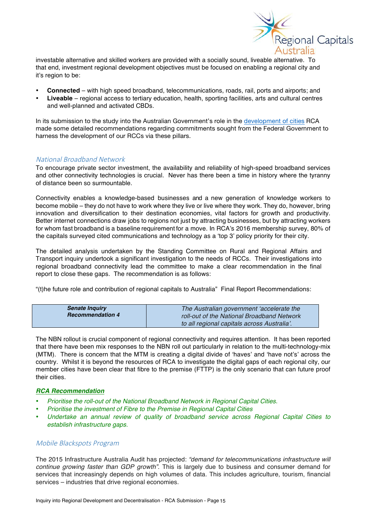

investable alternative and skilled workers are provided with a socially sound, liveable alternative. To that end, investment regional development objectives must be focused on enabling a regional city and it's region to be:

- **Connected** with high speed broadband, telecommunications, roads, rail, ports and airports; and
- **Liveable** regional access to tertiary education, health, sporting facilities, arts and cultural centres and well-planned and activated CBDs.

In its submission to the study into the Australian Government's role in the development of cities RCA made some detailed recommendations regarding commitments sought from the Federal Government to harness the development of our RCCs via these pillars.

#### National Broadband Network

To encourage private sector investment, the availability and reliability of high-speed broadband services and other connectivity technologies is crucial. Never has there been a time in history where the tyranny of distance been so surmountable.

Connectivity enables a knowledge-based businesses and a new generation of knowledge workers to become mobile – they do not have to work where they live or live where they work. They do, however, bring innovation and diversification to their destination economies, vital factors for growth and productivity. Better internet connections draw jobs to regions not just by attracting businesses, but by attracting workers for whom fast broadband is a baseline requirement for a move. In RCA's 2016 membership survey, 80% of the capitals surveyed cited communications and technology as a 'top 3' policy priority for their city.

The detailed analysis undertaken by the Standing Committee on Rural and Regional Affairs and Transport inquiry undertook a significant investigation to the needs of RCCs. Their investigations into regional broadband connectivity lead the committee to make a clear recommendation in the final report to close these gaps. The recommendation is as follows:

"(t)he future role and contribution of regional capitals to Australia" Final Report Recommendations:

| <b>Senate Inquiry</b>   |                                             |  |
|-------------------------|---------------------------------------------|--|
|                         | The Australian government 'accelerate the   |  |
| <b>Recommendation 4</b> | roll-out of the National Broadband Network  |  |
|                         | to all regional capitals across Australia'. |  |

The NBN rollout is crucial component of regional connectivity and requires attention. It has been reported that there have been mix responses to the NBN roll out particularly in relation to the multi-technology-mix (MTM). There is concern that the MTM is creating a digital divide of 'haves' and 'have not's' across the country. Whilst it is beyond the resources of RCA to investigate the digital gaps of each regional city, our member cities have been clear that fibre to the premise (FTTP) is the only scenario that can future proof their cities.

#### *RCA Recommendation*

- *Prioritise the roll-out of the National Broadband Network in Regional Capital Cities.*
- *Prioritise the investment of Fibre to the Premise in Regional Capital Cities*
- *Undertake an annual review of quality of broadband service across Regional Capital Cities to establish infrastructure gaps.*

#### Mobile Blackspots Program

The 2015 Infrastructure Australia Audit has projected: *"demand for telecommunications infrastructure will continue growing faster than GDP growth"*. This is largely due to business and consumer demand for services that increasingly depends on high volumes of data. This includes agriculture, tourism, financial services – industries that drive regional economies.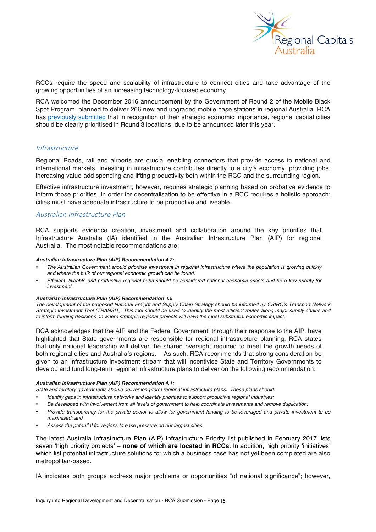

RCCs require the speed and scalability of infrastructure to connect cities and take advantage of the growing opportunities of an increasing technology-focused economy.

RCA welcomed the December 2016 announcement by the Government of Round 2 of the Mobile Black Spot Program, planned to deliver 266 new and upgraded mobile base stations in regional Australia. RCA has previously submitted that in recognition of their strategic economic importance, regional capital cities should be clearly prioritised in Round 3 locations, due to be announced later this year.

#### **Infrastructure**

Regional Roads, rail and airports are crucial enabling connectors that provide access to national and international markets. Investing in infrastructure contributes directly to a city's economy, providing jobs, increasing value-add spending and lifting productivity both within the RCC and the surrounding region.

Effective infrastructure investment, however, requires strategic planning based on probative evidence to inform those priorities. In order for decentralisation to be effective in a RCC requires a holistic approach: cities must have adequate infrastructure to be productive and liveable.

#### Australian Infrastructure Plan

RCA supports evidence creation, investment and collaboration around the key priorities that Infrastructure Australia (IA) identified in the Australian Infrastructure Plan (AIP) for regional Australia. The most notable recommendations are:

#### *Australian Infrastructure Plan (AIP) Recommendation 4.2:*

- *The Australian Government should prioritise investment in regional infrastructure where the population is growing quickly and where the bulk of our regional economic growth can be found.*
- *Efficient, liveable and productive regional hubs should be considered national economic assets and be a key priority for investment.*

#### *Australian Infrastructure Plan (AIP) Recommendation 4.5*

*The development of the proposed National Freight and Supply Chain Strategy should be informed by CSIRO's Transport Network Strategic Investment Tool (TRANSIT). This tool should be used to identify the most efficient routes along major supply chains and to inform funding decisions on where strategic regional projects will have the most substantial economic impact.*

RCA acknowledges that the AIP and the Federal Government, through their response to the AIP, have highlighted that State governments are responsible for regional infrastructure planning, RCA states that only national leadership will deliver the shared oversight required to meet the growth needs of both regional cities and Australia's regions. As such, RCA recommends that strong consideration be given to an infrastructure investment stream that will incentivise State and Territory Governments to develop and fund long-term regional infrastructure plans to deliver on the following recommendation:

#### *Australian Infrastructure Plan (AIP) Recommendation 4.1:*

*State and territory governments should deliver long-term regional infrastructure plans. These plans should:*

- *Identify gaps in infrastructure networks and identify priorities to support productive regional industries;*
- *Be developed with involvement from all levels of government to help coordinate investments and remove duplication;*
- *Provide transparency for the private sector to allow for government funding to be leveraged and private investment to be maximised; and*
- *Assess the potential for regions to ease pressure on our largest cities.*

The latest Australia Infrastructure Plan (AIP) Infrastructure Priority list published in February 2017 lists seven 'high priority projects' – **none of which are located in RCCs.** In addition, high priority 'initiatives' which list potential infrastructure solutions for which a business case has not yet been completed are also metropolitan-based.

IA indicates both groups address major problems or opportunities "of national significance"; however,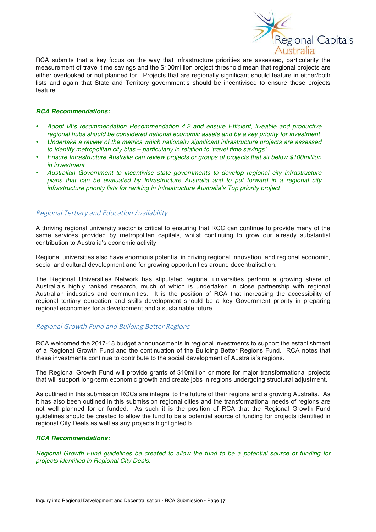

RCA submits that a key focus on the way that infrastructure priorities are assessed, particularity the measurement of travel time savings and the \$100million project threshold mean that regional projects are either overlooked or not planned for. Projects that are regionally significant should feature in either/both lists and again that State and Territory government's should be incentivised to ensure these projects feature.

#### *RCA Recommendations:*

- *Adopt IA's recommendation Recommendation 4.2 and ensure Efficient, liveable and productive regional hubs should be considered national economic assets and be a key priority for investment*
- *Undertake a review of the metrics which nationally significant infrastructure projects are assessed to identify metropolitan city bias – particularly in relation to 'travel time savings'*
- *Ensure Infrastructure Australia can review projects or groups of projects that sit below \$100million in investment*
- *Australian Government to incentivise state governments to develop regional city infrastructure plans that can be evaluated by Infrastructure Australia and to put forward in a regional city infrastructure priority lists for ranking in Infrastructure Australia's Top priority project*

#### Regional Tertiary and Education Availability

A thriving regional university sector is critical to ensuring that RCC can continue to provide many of the same services provided by metropolitan capitals, whilst continuing to grow our already substantial contribution to Australia's economic activity.

Regional universities also have enormous potential in driving regional innovation, and regional economic, social and cultural development and for growing opportunities around decentralisation.

The Regional Universities Network has stipulated regional universities perform a growing share of Australia's highly ranked research, much of which is undertaken in close partnership with regional Australian industries and communities. It is the position of RCA that increasing the accessibility of regional tertiary education and skills development should be a key Government priority in preparing regional economies for a development and a sustainable future.

#### Regional Growth Fund and Building Better Regions

RCA welcomed the 2017-18 budget announcements in regional investments to support the establishment of a Regional Growth Fund and the continuation of the Building Better Regions Fund. RCA notes that these investments continue to contribute to the social development of Australia's regions.

The Regional Growth Fund will provide grants of \$10million or more for major transformational projects that will support long-term economic growth and create jobs in regions undergoing structural adjustment.

As outlined in this submission RCCs are integral to the future of their regions and a growing Australia. As it has also been outlined in this submission regional cities and the transformational needs of regions are not well planned for or funded. As such it is the position of RCA that the Regional Growth Fund guidelines should be created to allow the fund to be a potential source of funding for projects identified in regional City Deals as well as any projects highlighted b

#### *RCA Recommendations:*

*Regional Growth Fund guidelines be created to allow the fund to be a potential source of funding for projects identified in Regional City Deals.*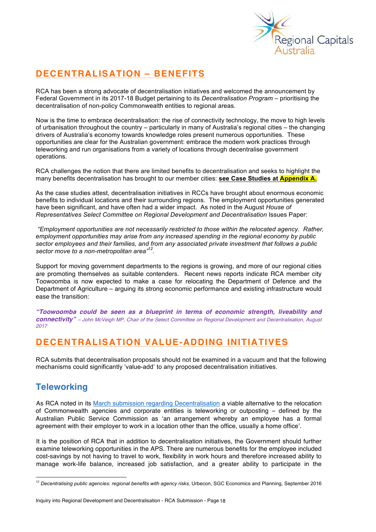

# **DECENTRALISATION – BENEFITS**

RCA has been a strong advocate of decentralisation initiatives and welcomed the announcement by Federal Government in its 2017-18 Budget pertaining to its *Decentralisation Program* – prioritising the decentralisation of non-policy Commonwealth entities to regional areas.

Now is the time to embrace decentralisation: the rise of connectivity technology, the move to high levels of urbanisation throughout the country – particularly in many of Australia's regional cities – the changing drivers of Australia's economy towards knowledge roles present numerous opportunities. These opportunities are clear for the Australian government: embrace the modern work practices through teleworking and run organisations from a variety of locations through decentralise government operations.

RCA challenges the notion that there are limited benefits to decentralisation and seeks to highlight the many benefits decentralisation has brought to our member cities: **see Case Studies at Appendix A.**

As the case studies attest, decentralisation initiatives in RCCs have brought about enormous economic benefits to individual locations and their surrounding regions. The employment opportunities generated have been significant, and have often had a wider impact. As noted in the August *House of Representatives Select Committee on Regional Development and Decentralisation Issues Paper:* 

*"Employment opportunities are not necessarily restricted to those within the relocated agency. Rather, employment opportunities may arise from any increased spending in the regional economy by public sector employees and their families, and from any associated private investment that follows a public sector move to a non-metropolitan area"12.* 

Support for moving government departments to the regions is growing, and more of our regional cities are promoting themselves as suitable contenders. Recent news reports indicate RCA member city Toowoomba is now expected to make a case for relocating the Department of Defence and the Department of Agriculture – arguing its strong economic performance and existing infrastructure would ease the transition:

*"Toowoomba could be seen as a blueprint in terms of economic strength, liveability and connectivity" – John McVeigh MP, Chair of the Select Committee on Regional Development and Decentralisation, August 2017*

## **DECENTRALISATION VALUE-ADDING INITIATIVES**

RCA submits that decentralisation proposals should not be examined in a vacuum and that the following mechanisms could significantly 'value-add' to any proposed decentralisation initiatives.

### **Teleworking**

As RCA noted in its March submission regarding Decentralisation a viable alternative to the relocation of Commonwealth agencies and corporate entities is teleworking or outposting – defined by the Australian Public Service Commission as 'an arrangement whereby an employee has a formal agreement with their employer to work in a location other than the office, usually a home office'.

It is the position of RCA that in addition to decentralisation initiatives, the Government should further examine teleworking opportunities in the APS. There are numerous benefits for the employee included cost-savings by not having to travel to work, flexibility in work hours and therefore increased ability to manage work-life balance, increased job satisfaction, and a greater ability to participate in the

<sup>&</sup>lt;sup>12</sup> Decentralising public agencies: regional benefits with agency risks, Urbecon, SGC Economics and Planning, September 2016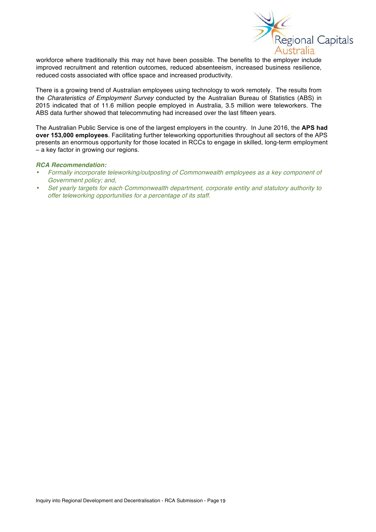

workforce where traditionally this may not have been possible. The benefits to the employer include improved recruitment and retention outcomes, reduced absenteeism, increased business resilience, reduced costs associated with office space and increased productivity.

There is a growing trend of Australian employees using technology to work remotely. The results from the *Charateristics of Employment Survey* conducted by the Australian Bureau of Statistics (ABS) in 2015 indicated that of 11.6 million people employed in Australia, 3.5 million were teleworkers. The ABS data further showed that telecommuting had increased over the last fifteen years.

The Australian Public Service is one of the largest employers in the country. In June 2016, the **APS had over 153,000 employees**. Facilitating further teleworking opportunities throughout all sectors of the APS presents an enormous opportunity for those located in RCCs to engage in skilled, long-term employment – a key factor in growing our regions.

#### *RCA Recommendation:*

- *Formally incorporate teleworking/outposting of Commonwealth employees as a key component of Government policy; and,*
- *Set yearly targets for each Commonwealth department, corporate entity and statutory authority to offer teleworking opportunities for a percentage of its staff.*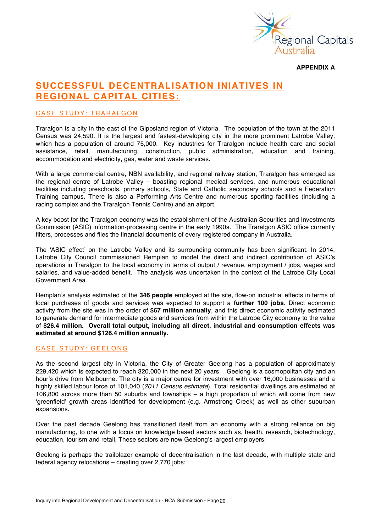

**APPENDIX A**

### **SUCCESSFUL DECENTRALISATION INIATIVES IN REGIONAL CAPITAL CITIES:**

#### CASE STUDY: TRARALGON

Traralgon is a city in the east of the Gippsland region of Victoria. The population of the town at the 2011 Census was 24,590. It is the largest and fastest-developing city in the more prominent Latrobe Valley, which has a population of around 75,000. Key industries for Traralgon include health care and social assistance, retail, manufacturing, construction, public administration, education and training, accommodation and electricity, gas, water and waste services.

With a large commercial centre, NBN availability, and regional railway station, Traralgon has emerged as the regional centre of Latrobe Valley – boasting regional medical services, and numerous educational facilities including preschools, primary schools, State and Catholic secondary schools and a Federation Training campus. There is also a Performing Arts Centre and numerous sporting facilities (including a racing complex and the Traralgon Tennis Centre) and an airport.

A key boost for the Traralgon economy was the establishment of the Australian Securities and Investments Commission (ASIC) information-processing centre in the early 1990s. The Traralgon ASIC office currently filters, processes and files the financial documents of every registered company in Australia.

The 'ASIC effect' on the Latrobe Valley and its surrounding community has been significant. In 2014, Latrobe City Council commissioned Remplan to model the direct and indirect contribution of ASIC's operations in Traralgon to the local economy in terms of output / revenue, employment / jobs, wages and salaries, and value-added benefit. The analysis was undertaken in the context of the Latrobe City Local Government Area.

Remplan's analysis estimated of the **346 people** employed at the site, flow-on industrial effects in terms of local purchases of goods and services was expected to support a **further 100 jobs**. Direct economic activity from the site was in the order of **\$67 million annually**, and this direct economic activity estimated to generate demand for intermediate goods and services from within the Latrobe City economy to the value of **\$26.4 million. Overall total output, including all direct, industrial and consumption effects was estimated at around \$126.4 million annually.**

#### CASE STUDY: GEELONG

As the second largest city in Victoria, the City of Greater Geelong has a population of approximately 229,420 which is expected to reach 320,000 in the next 20 years. Geelong is a cosmopolitan city and an hour's drive from Melbourne. The city is a major centre for investment with over 16,000 businesses and a highly skilled labour force of 101,040 (*2011 Census estimate*). Total residential dwellings are estimated at 106,800 across more than 50 suburbs and townships – a high proportion of which will come from new 'greenfield' growth areas identified for development (e.g. Armstrong Creek) as well as other suburban expansions.

Over the past decade Geelong has transitioned itself from an economy with a strong reliance on big manufacturing, to one with a focus on knowledge based sectors such as, health, research, biotechnology, education, tourism and retail. These sectors are now Geelong's largest employers.

Geelong is perhaps the trailblazer example of decentralisation in the last decade, with multiple state and federal agency relocations – creating over 2,770 jobs: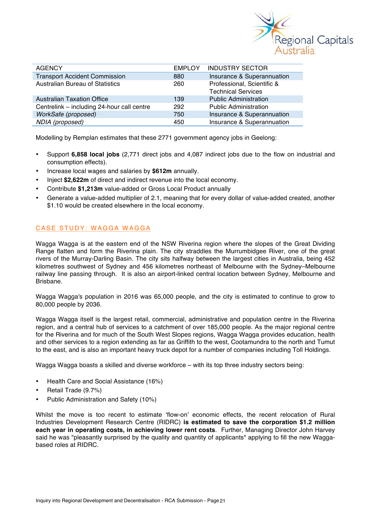

| <b>AGENCY</b>                              | <b>EMPLOY</b> | <b>INDUSTRY SECTOR</b>                                  |
|--------------------------------------------|---------------|---------------------------------------------------------|
| <b>Transport Accident Commission</b>       | 880           | Insurance & Superannuation                              |
| <b>Australian Bureau of Statistics</b>     | 260           | Professional, Scientific &<br><b>Technical Services</b> |
| <b>Australian Taxation Office</b>          | 139           | <b>Public Administration</b>                            |
| Centrelink - including 24-hour call centre | 292           | <b>Public Administration</b>                            |
| WorkSafe (proposed)                        | 750           | Insurance & Superannuation                              |
| NDIA (proposed)                            | 450           | Insurance & Superannuation                              |

Modelling by Remplan estimates that these 2771 government agency jobs in Geelong:

- Support **6,858 local jobs** (2,771 direct jobs and 4,087 indirect jobs due to the flow on industrial and consumption effects).
- Increase local wages and salaries by **\$612m** annually.
- Inject **\$2,622m** of direct and indirect revenue into the local economy.
- Contribute **\$1,213m** value-added or Gross Local Product annually
- Generate a value-added multiplier of 2.1, meaning that for every dollar of value-added created, another \$1.10 would be created elsewhere in the local economy.

#### CASE STUDY: WAGGA WAGGA

Wagga Wagga is at the eastern end of the NSW Riverina region where the slopes of the Great Dividing Range flatten and form the Riverina plain. The city straddles the Murrumbidgee River, one of the great rivers of the Murray-Darling Basin. The city sits halfway between the largest cities in Australia, being 452 kilometres southwest of Sydney and 456 kilometres northeast of Melbourne with the Sydney–Melbourne railway line passing through. It is also an airport-linked central location between Sydney, Melbourne and Brisbane.

Wagga Wagga's population in 2016 was 65,000 people, and the city is estimated to continue to grow to 80,000 people by 2036.

Wagga Wagga itself is the largest retail, commercial, administrative and population centre in the Riverina region, and a central hub of services to a catchment of over 185,000 people. As the major regional centre for the Riverina and for much of the South West Slopes regions, Wagga Wagga provides education, health and other services to a region extending as far as Griffith to the west, Cootamundra to the north and Tumut to the east, and is also an important heavy truck depot for a number of companies including Toll Holdings.

Wagga Wagga boasts a skilled and diverse workforce – with its top three industry sectors being:

- Health Care and Social Assistance (16%)
- Retail Trade (9.7%)
- Public Administration and Safety (10%)

Whilst the move is too recent to estimate 'flow-on' economic effects, the recent relocation of Rural Industries Development Research Centre (RIDRC) **is estimated to save the corporation \$1.2 million each year in operating costs, in achieving lower rent costs**. Further, Managing Director John Harvey said he was "pleasantly surprised by the quality and quantity of applicants" applying to fill the new Waggabased roles at RIDRC.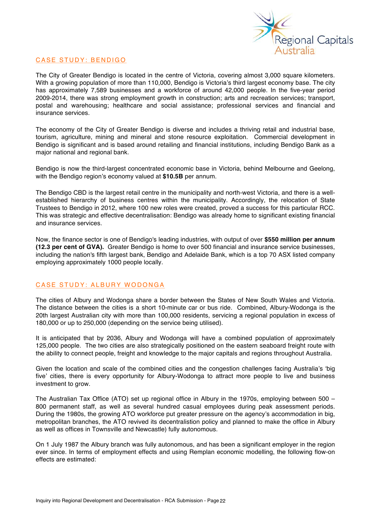

#### CASE STUDY: BENDIGO

The City of Greater Bendigo is located in the centre of Victoria, covering almost 3,000 square kilometers. With a growing population of more than 110,000, Bendigo is Victoria's third largest economy base. The city has approximately 7,589 businesses and a workforce of around 42,000 people. In the five-year period 2009-2014, there was strong employment growth in construction; arts and recreation services; transport, postal and warehousing; healthcare and social assistance; professional services and financial and insurance services.

The economy of the City of Greater Bendigo is diverse and includes a thriving retail and industrial base, tourism, agriculture, mining and mineral and stone resource exploitation. Commercial development in Bendigo is significant and is based around retailing and financial institutions, including Bendigo Bank as a major national and regional bank.

Bendigo is now the third-largest concentrated economic base in Victoria, behind Melbourne and Geelong, with the Bendigo region's economy valued at **\$10.5B** per annum.

The Bendigo CBD is the largest retail centre in the municipality and north-west Victoria, and there is a wellestablished hierarchy of business centres within the municipality. Accordingly, the relocation of State Trustees to Bendigo in 2012, where 100 new roles were created, proved a success for this particular RCC. This was strategic and effective decentralisation: Bendigo was already home to significant existing financial and insurance services.

Now, the finance sector is one of Bendigo's leading industries, with output of over **\$550 million per annum (12.3 per cent of GVA).** Greater Bendigo is home to over 500 financial and insurance service businesses, including the nation's fifth largest bank, Bendigo and Adelaide Bank, which is a top 70 ASX listed company employing approximately 1000 people locally.

#### CASE STUDY: ALBURY WODONGA

The cities of Albury and Wodonga share a border between the States of New South Wales and Victoria. The distance between the cities is a short 10-minute car or bus ride. Combined, Albury-Wodonga is the 20th largest Australian city with more than 100,000 residents, servicing a regional population in excess of 180,000 or up to 250,000 (depending on the service being utilised).

It is anticipated that by 2036, Albury and Wodonga will have a combined population of approximately 125,000 people. The two cities are also strategically positioned on the eastern seaboard freight route with the ability to connect people, freight and knowledge to the major capitals and regions throughout Australia.

Given the location and scale of the combined cities and the congestion challenges facing Australia's 'big five' cities, there is every opportunity for Albury-Wodonga to attract more people to live and business investment to grow.

The Australian Tax Office (ATO) set up regional office in Albury in the 1970s, employing between 500 – 800 permanent staff, as well as several hundred casual employees during peak assessment periods. During the 1980s, the growing ATO workforce put greater pressure on the agency's accommodation in big, metropolitan branches, the ATO revived its decentralistion policy and planned to make the office in Albury as well as offices in Townsville and Newcastle) fully autonomous.

On 1 July 1987 the Albury branch was fully autonomous, and has been a significant employer in the region ever since. In terms of employment effects and using Remplan economic modelling, the following flow-on effects are estimated: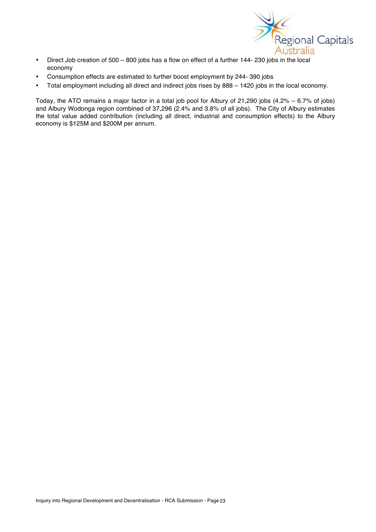

- Direct Job creation of 500 800 jobs has a flow on effect of a further 144- 230 jobs in the local economy
- Consumption effects are estimated to further boost employment by 244- 390 jobs
- Total employment including all direct and indirect jobs rises by 888 1420 jobs in the local economy.

Today, the ATO remains a major factor in a total job pool for Albury of 21,290 jobs (4.2% – 6.7% of jobs) and Albury Wodonga region combined of 37,296 (2.4% and 3.8% of all jobs). The City of Albury estimates the total value added contribution (including all direct, industrial and consumption effects) to the Albury economy is \$125M and \$200M per annum.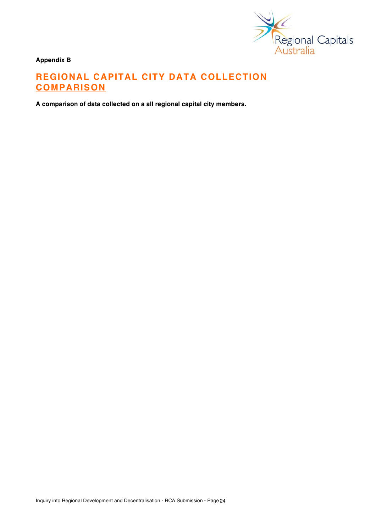

**Appendix B**

# **REGIONAL CAPITAL CITY DATA COLLECTION COMPARISON**

**A comparison of data collected on a all regional capital city members.**